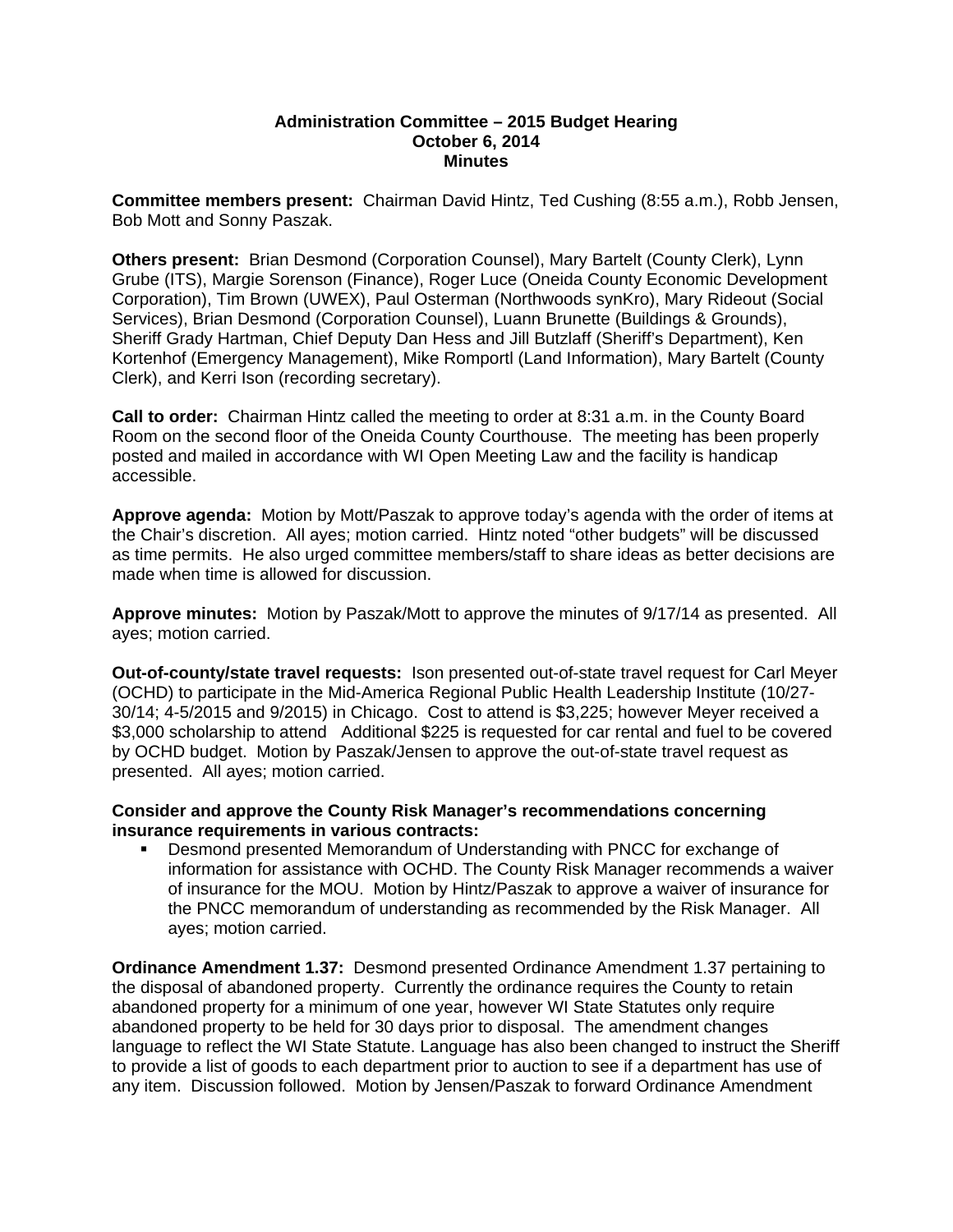## **Administration Committee – 2015 Budget Hearing October 6, 2014 Minutes**

**Committee members present:** Chairman David Hintz, Ted Cushing (8:55 a.m.), Robb Jensen, Bob Mott and Sonny Paszak.

**Others present:** Brian Desmond (Corporation Counsel), Mary Bartelt (County Clerk), Lynn Grube (ITS), Margie Sorenson (Finance), Roger Luce (Oneida County Economic Development Corporation), Tim Brown (UWEX), Paul Osterman (Northwoods synKro), Mary Rideout (Social Services), Brian Desmond (Corporation Counsel), Luann Brunette (Buildings & Grounds), Sheriff Grady Hartman, Chief Deputy Dan Hess and Jill Butzlaff (Sheriff's Department), Ken Kortenhof (Emergency Management), Mike Romportl (Land Information), Mary Bartelt (County Clerk), and Kerri Ison (recording secretary).

**Call to order:** Chairman Hintz called the meeting to order at 8:31 a.m. in the County Board Room on the second floor of the Oneida County Courthouse. The meeting has been properly posted and mailed in accordance with WI Open Meeting Law and the facility is handicap accessible.

**Approve agenda:** Motion by Mott/Paszak to approve today's agenda with the order of items at the Chair's discretion. All ayes; motion carried. Hintz noted "other budgets" will be discussed as time permits. He also urged committee members/staff to share ideas as better decisions are made when time is allowed for discussion.

**Approve minutes:** Motion by Paszak/Mott to approve the minutes of 9/17/14 as presented. All ayes; motion carried.

**Out-of-county/state travel requests:** Ison presented out-of-state travel request for Carl Meyer (OCHD) to participate in the Mid-America Regional Public Health Leadership Institute (10/27- 30/14; 4-5/2015 and 9/2015) in Chicago. Cost to attend is \$3,225; however Meyer received a \$3,000 scholarship to attend Additional \$225 is requested for car rental and fuel to be covered by OCHD budget. Motion by Paszak/Jensen to approve the out-of-state travel request as presented. All ayes; motion carried.

**Consider and approve the County Risk Manager's recommendations concerning insurance requirements in various contracts:**

 Desmond presented Memorandum of Understanding with PNCC for exchange of information for assistance with OCHD. The County Risk Manager recommends a waiver of insurance for the MOU. Motion by Hintz/Paszak to approve a waiver of insurance for the PNCC memorandum of understanding as recommended by the Risk Manager. All ayes; motion carried.

**Ordinance Amendment 1.37:** Desmond presented Ordinance Amendment 1.37 pertaining to the disposal of abandoned property. Currently the ordinance requires the County to retain abandoned property for a minimum of one year, however WI State Statutes only require abandoned property to be held for 30 days prior to disposal. The amendment changes language to reflect the WI State Statute. Language has also been changed to instruct the Sheriff to provide a list of goods to each department prior to auction to see if a department has use of any item. Discussion followed. Motion by Jensen/Paszak to forward Ordinance Amendment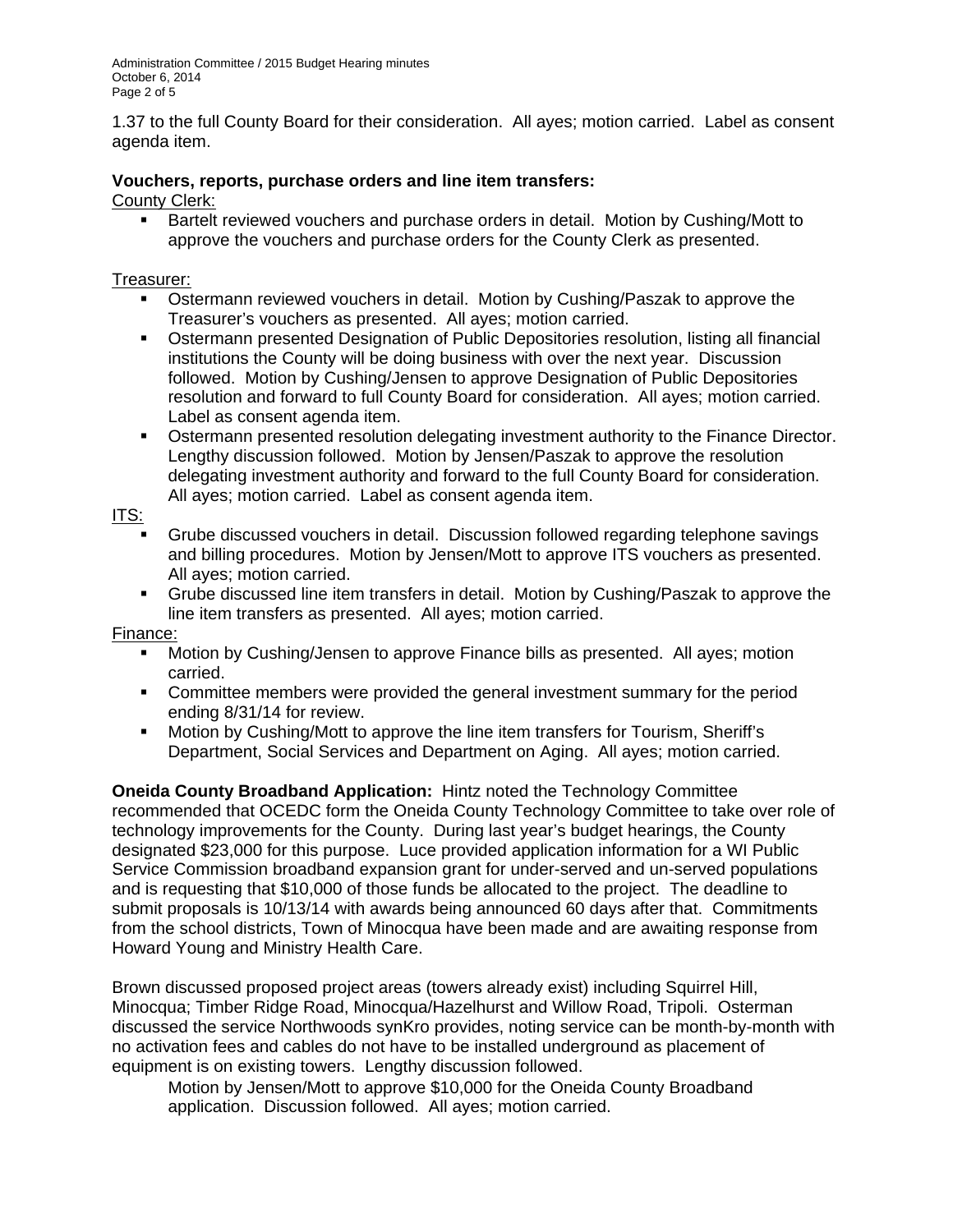1.37 to the full County Board for their consideration. All ayes; motion carried. Label as consent agenda item.

## **Vouchers, reports, purchase orders and line item transfers:**

## County Clerk:

**Bartelt reviewed vouchers and purchase orders in detail. Motion by Cushing/Mott to** approve the vouchers and purchase orders for the County Clerk as presented.

Treasurer:

- Ostermann reviewed vouchers in detail. Motion by Cushing/Paszak to approve the Treasurer's vouchers as presented. All ayes; motion carried.
- Ostermann presented Designation of Public Depositories resolution, listing all financial institutions the County will be doing business with over the next year. Discussion followed. Motion by Cushing/Jensen to approve Designation of Public Depositories resolution and forward to full County Board for consideration. All ayes; motion carried. Label as consent agenda item.
- **Ostermann presented resolution delegating investment authority to the Finance Director.** Lengthy discussion followed. Motion by Jensen/Paszak to approve the resolution delegating investment authority and forward to the full County Board for consideration. All ayes; motion carried. Label as consent agenda item.

ITS:

- Grube discussed vouchers in detail. Discussion followed regarding telephone savings and billing procedures. Motion by Jensen/Mott to approve ITS vouchers as presented. All ayes; motion carried.
- Grube discussed line item transfers in detail. Motion by Cushing/Paszak to approve the line item transfers as presented. All ayes; motion carried.

## Finance:

- **Motion by Cushing/Jensen to approve Finance bills as presented. All ayes; motion** carried.
- Committee members were provided the general investment summary for the period ending 8/31/14 for review.
- Motion by Cushing/Mott to approve the line item transfers for Tourism, Sheriff's Department, Social Services and Department on Aging. All ayes; motion carried.

**Oneida County Broadband Application:** Hintz noted the Technology Committee recommended that OCEDC form the Oneida County Technology Committee to take over role of technology improvements for the County. During last year's budget hearings, the County designated \$23,000 for this purpose. Luce provided application information for a WI Public Service Commission broadband expansion grant for under-served and un-served populations and is requesting that \$10,000 of those funds be allocated to the project. The deadline to submit proposals is 10/13/14 with awards being announced 60 days after that. Commitments from the school districts, Town of Minocqua have been made and are awaiting response from Howard Young and Ministry Health Care.

Brown discussed proposed project areas (towers already exist) including Squirrel Hill, Minocqua; Timber Ridge Road, Minocqua/Hazelhurst and Willow Road, Tripoli. Osterman discussed the service Northwoods synKro provides, noting service can be month-by-month with no activation fees and cables do not have to be installed underground as placement of equipment is on existing towers. Lengthy discussion followed.

 Motion by Jensen/Mott to approve \$10,000 for the Oneida County Broadband application. Discussion followed. All ayes; motion carried.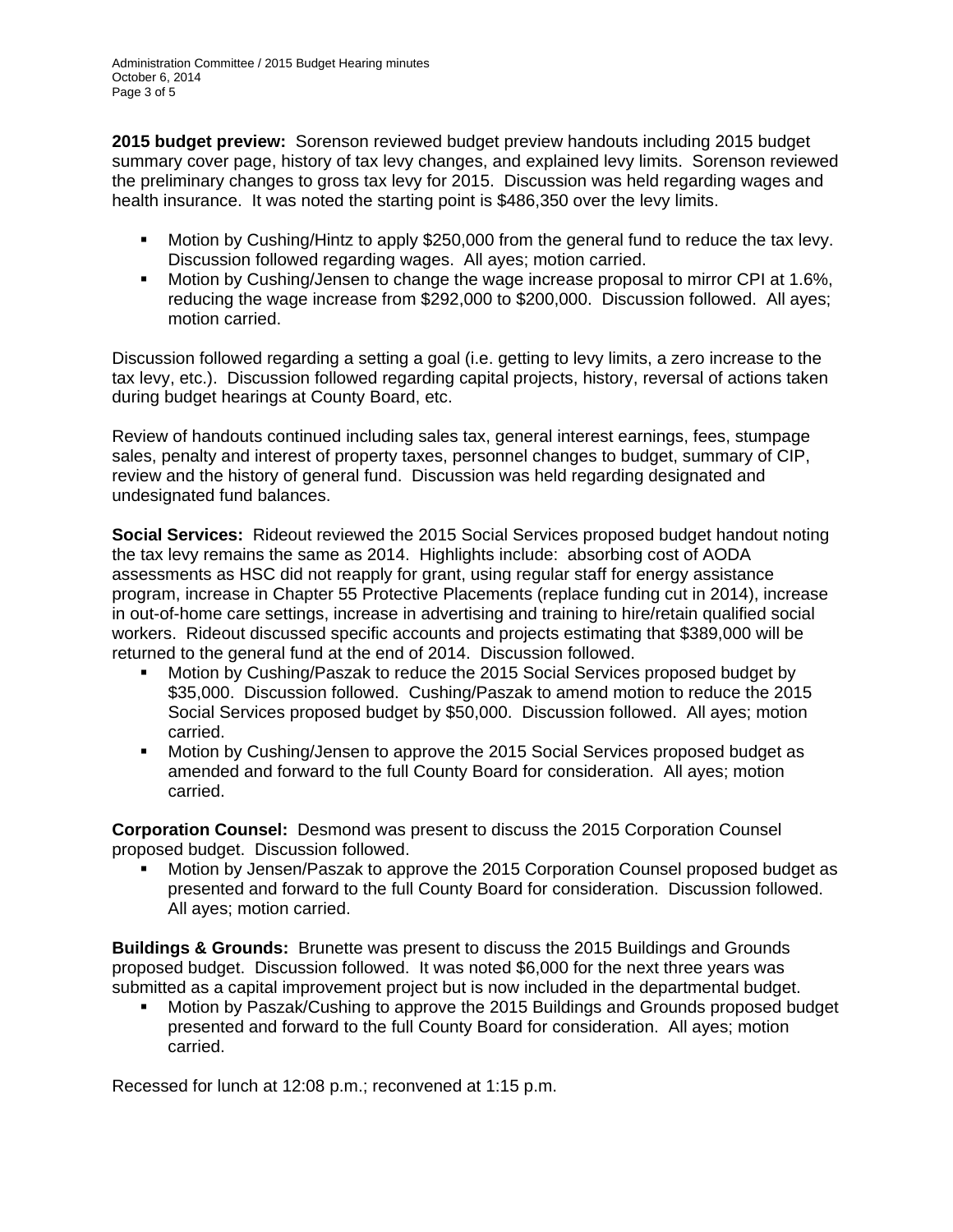**2015 budget preview:** Sorenson reviewed budget preview handouts including 2015 budget summary cover page, history of tax levy changes, and explained levy limits. Sorenson reviewed the preliminary changes to gross tax levy for 2015. Discussion was held regarding wages and health insurance. It was noted the starting point is \$486,350 over the levy limits.

- Motion by Cushing/Hintz to apply \$250,000 from the general fund to reduce the tax levy. Discussion followed regarding wages. All ayes; motion carried.
- Motion by Cushing/Jensen to change the wage increase proposal to mirror CPI at 1.6%, reducing the wage increase from \$292,000 to \$200,000. Discussion followed. All ayes; motion carried.

Discussion followed regarding a setting a goal (i.e. getting to levy limits, a zero increase to the tax levy, etc.). Discussion followed regarding capital projects, history, reversal of actions taken during budget hearings at County Board, etc.

Review of handouts continued including sales tax, general interest earnings, fees, stumpage sales, penalty and interest of property taxes, personnel changes to budget, summary of CIP, review and the history of general fund. Discussion was held regarding designated and undesignated fund balances.

**Social Services:** Rideout reviewed the 2015 Social Services proposed budget handout noting the tax levy remains the same as 2014. Highlights include: absorbing cost of AODA assessments as HSC did not reapply for grant, using regular staff for energy assistance program, increase in Chapter 55 Protective Placements (replace funding cut in 2014), increase in out-of-home care settings, increase in advertising and training to hire/retain qualified social workers. Rideout discussed specific accounts and projects estimating that \$389,000 will be returned to the general fund at the end of 2014. Discussion followed.

- Motion by Cushing/Paszak to reduce the 2015 Social Services proposed budget by \$35,000. Discussion followed. Cushing/Paszak to amend motion to reduce the 2015 Social Services proposed budget by \$50,000. Discussion followed. All ayes; motion carried.
- Motion by Cushing/Jensen to approve the 2015 Social Services proposed budget as amended and forward to the full County Board for consideration. All ayes; motion carried.

**Corporation Counsel:** Desmond was present to discuss the 2015 Corporation Counsel proposed budget. Discussion followed.

 Motion by Jensen/Paszak to approve the 2015 Corporation Counsel proposed budget as presented and forward to the full County Board for consideration. Discussion followed. All ayes; motion carried.

**Buildings & Grounds:** Brunette was present to discuss the 2015 Buildings and Grounds proposed budget. Discussion followed. It was noted \$6,000 for the next three years was submitted as a capital improvement project but is now included in the departmental budget.

 Motion by Paszak/Cushing to approve the 2015 Buildings and Grounds proposed budget presented and forward to the full County Board for consideration. All ayes; motion carried.

Recessed for lunch at 12:08 p.m.; reconvened at 1:15 p.m.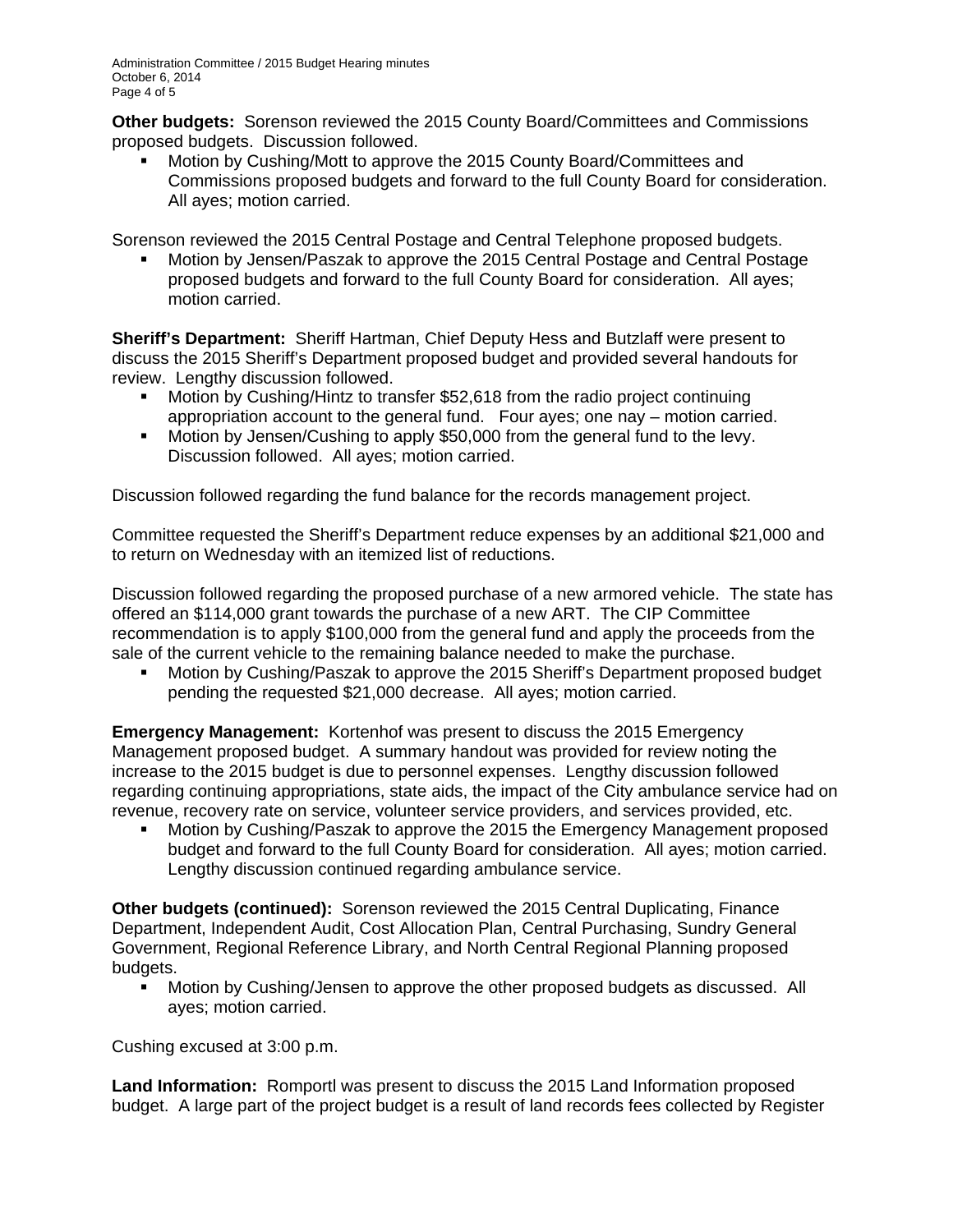**Other budgets:** Sorenson reviewed the 2015 County Board/Committees and Commissions proposed budgets. Discussion followed.

 Motion by Cushing/Mott to approve the 2015 County Board/Committees and Commissions proposed budgets and forward to the full County Board for consideration. All ayes; motion carried.

Sorenson reviewed the 2015 Central Postage and Central Telephone proposed budgets.

 Motion by Jensen/Paszak to approve the 2015 Central Postage and Central Postage proposed budgets and forward to the full County Board for consideration. All ayes; motion carried.

**Sheriff's Department:** Sheriff Hartman, Chief Deputy Hess and Butzlaff were present to discuss the 2015 Sheriff's Department proposed budget and provided several handouts for review. Lengthy discussion followed.

- Motion by Cushing/Hintz to transfer \$52,618 from the radio project continuing appropriation account to the general fund. Four ayes; one nay – motion carried.
- **Motion by Jensen/Cushing to apply \$50,000 from the general fund to the levy.** Discussion followed. All ayes; motion carried.

Discussion followed regarding the fund balance for the records management project.

Committee requested the Sheriff's Department reduce expenses by an additional \$21,000 and to return on Wednesday with an itemized list of reductions.

Discussion followed regarding the proposed purchase of a new armored vehicle. The state has offered an \$114,000 grant towards the purchase of a new ART. The CIP Committee recommendation is to apply \$100,000 from the general fund and apply the proceeds from the sale of the current vehicle to the remaining balance needed to make the purchase.

 Motion by Cushing/Paszak to approve the 2015 Sheriff's Department proposed budget pending the requested \$21,000 decrease. All ayes; motion carried.

**Emergency Management:** Kortenhof was present to discuss the 2015 Emergency Management proposed budget. A summary handout was provided for review noting the increase to the 2015 budget is due to personnel expenses. Lengthy discussion followed regarding continuing appropriations, state aids, the impact of the City ambulance service had on revenue, recovery rate on service, volunteer service providers, and services provided, etc.

**Motion by Cushing/Paszak to approve the 2015 the Emergency Management proposed** budget and forward to the full County Board for consideration. All ayes; motion carried. Lengthy discussion continued regarding ambulance service.

**Other budgets (continued):** Sorenson reviewed the 2015 Central Duplicating, Finance Department, Independent Audit, Cost Allocation Plan, Central Purchasing, Sundry General Government, Regional Reference Library, and North Central Regional Planning proposed budgets.

 Motion by Cushing/Jensen to approve the other proposed budgets as discussed. All ayes; motion carried.

Cushing excused at 3:00 p.m.

**Land Information:** Romportl was present to discuss the 2015 Land Information proposed budget. A large part of the project budget is a result of land records fees collected by Register